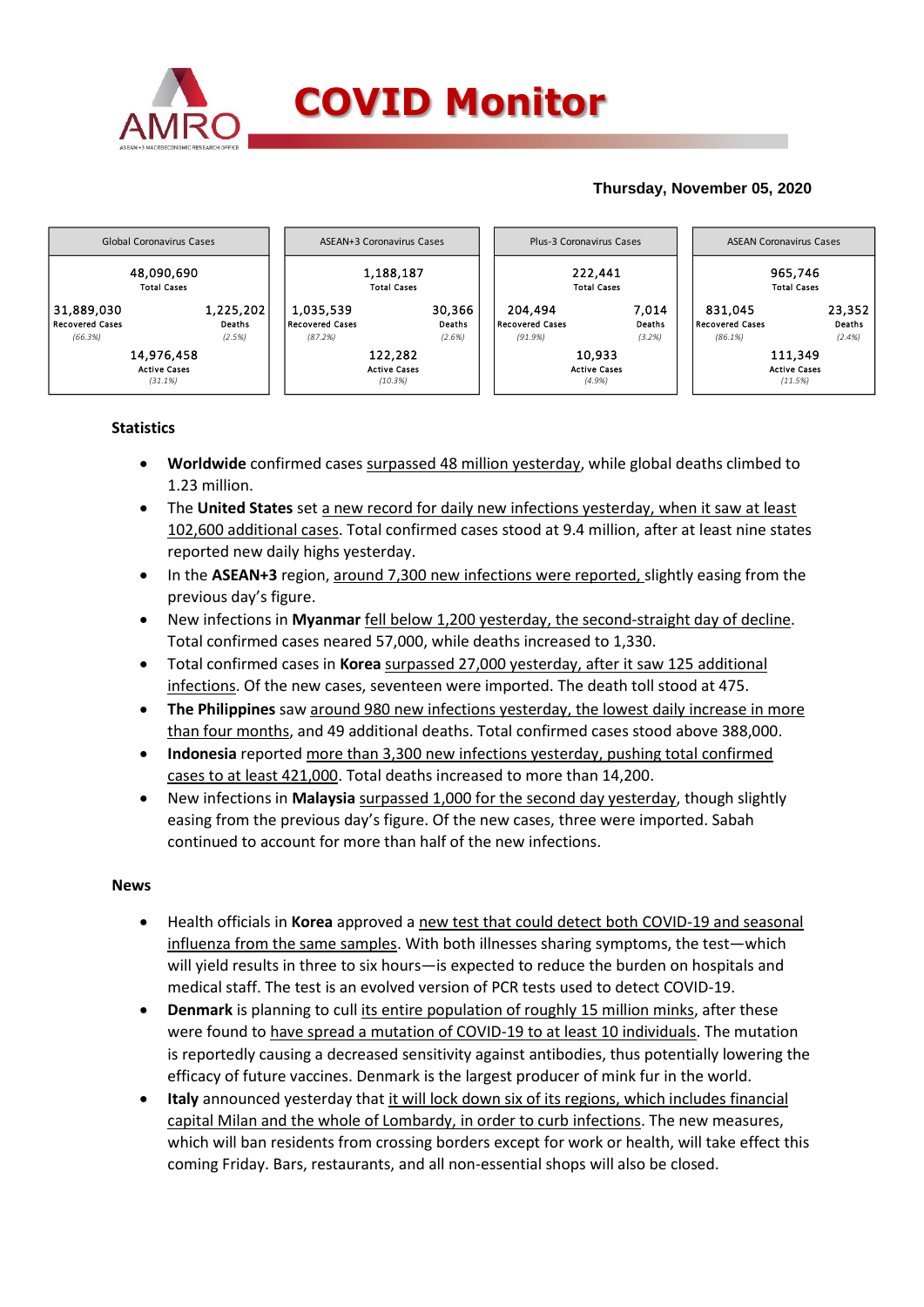

# **Thursday, November 05, 2020**



# **Statistics**

- **Worldwide** confirmed cases surpassed 48 million yesterday, while global deaths climbed to 1.23 million.
- The **United States** set a new record for daily new infections yesterday, when it saw at least 102,600 additional cases. Total confirmed cases stood at 9.4 million, after at least nine states reported new daily highs yesterday.
- In the **ASEAN+3** region, around 7,300 new infections were reported, slightly easing from the previous day's figure.
- New infections in **Myanmar** fell below 1,200 yesterday, the second-straight day of decline. Total confirmed cases neared 57,000, while deaths increased to 1,330.
- Total confirmed cases in **Korea** surpassed 27,000 yesterday, after it saw 125 additional infections. Of the new cases, seventeen were imported. The death toll stood at 475.
- **The Philippines** saw around 980 new infections yesterday, the lowest daily increase in more than four months, and 49 additional deaths. Total confirmed cases stood above 388,000.
- **Indonesia** reported more than 3,300 new infections yesterday, pushing total confirmed cases to at least 421,000. Total deaths increased to more than 14,200.
- New infections in **Malaysia** surpassed 1,000 for the second day yesterday, though slightly easing from the previous day's figure. Of the new cases, three were imported. Sabah continued to account for more than half of the new infections.

### **News**

- Health officials in **Korea** approved a new test that could detect both COVID-19 and seasonal influenza from the same samples. With both illnesses sharing symptoms, the test—which will yield results in three to six hours—is expected to reduce the burden on hospitals and medical staff. The test is an evolved version of PCR tests used to detect COVID-19.
- **Denmark** is planning to cull its entire population of roughly 15 million minks, after these were found to have spread a mutation of COVID-19 to at least 10 individuals. The mutation is reportedly causing a decreased sensitivity against antibodies, thus potentially lowering the efficacy of future vaccines. Denmark is the largest producer of mink fur in the world.
- **Italy** announced yesterday that it will lock down six of its regions, which includes financial capital Milan and the whole of Lombardy, in order to curb infections. The new measures, which will ban residents from crossing borders except for work or health, will take effect this coming Friday. Bars, restaurants, and all non-essential shops will also be closed.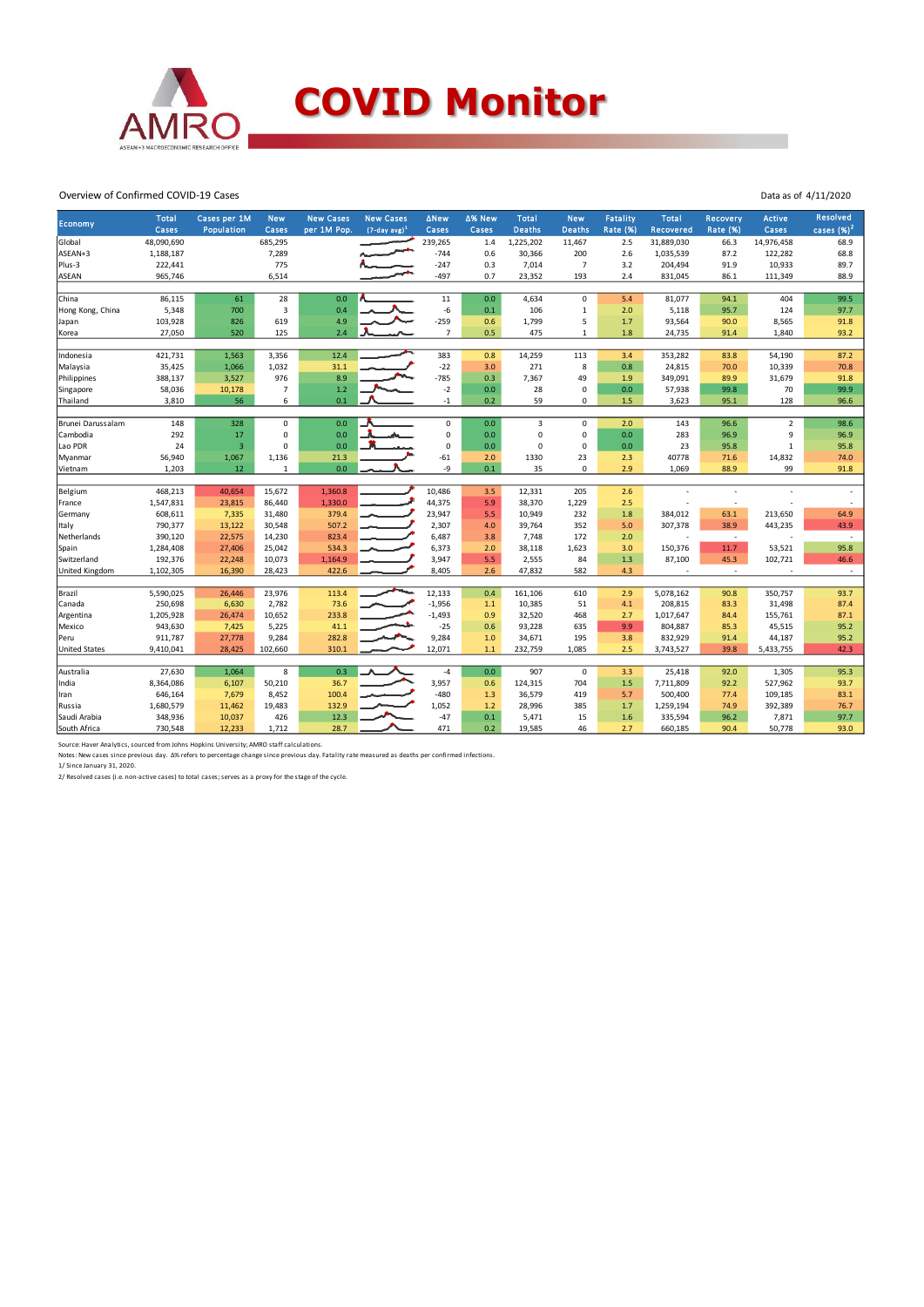

#### Overview of Confirmed COVID-19 Cases

| Economy<br>Cases<br>Population<br>Cases<br>per 1M Pop.<br>$(7-day avg)^1$<br>Cases<br>Cases<br><b>Deaths</b><br><b>Deaths</b><br><b>Rate (%)</b><br><b>Rate (%)</b><br>Recovered<br>Cases<br>48,090,690<br>685,295<br>1,225,202<br>Global<br>239,265<br>1.4<br>11,467<br>2.5<br>31,889,030<br>66.3<br>14,976,458<br>ASEAN+3<br>1,188,187<br>7,289<br>$-744$<br>0.6<br>30,366<br>200<br>2.6<br>1,035,539<br>87.2<br>122,282<br>222,441<br>775<br>$-247$<br>0.3<br>7,014<br>$\overline{7}$<br>204,494<br>91.9<br>10,933<br>Plus-3<br>3.2<br>965,746<br>6,514<br>$-497$<br>0.7<br>23,352<br>193<br>831,045<br>111,349<br>ASEAN<br>2.4<br>86.1<br>28<br>$11\,$<br>0.0<br>China<br>86,115<br>61<br>0.0<br>4,634<br>$\mathbf 0$<br>81,077<br>94.1<br>404<br>5.4<br>$-6$<br>Hong Kong, China<br>5,348<br>700<br>3<br>0.4<br>0.1<br>106<br>$\mathbf{1}$<br>5,118<br>95.7<br>124<br>2.0<br>4.9<br>$-259$<br>5<br>103,928<br>619<br>0.6<br>1,799<br>1.7<br>93,564<br>90.0<br>8,565<br>826<br>Japan<br>0.5<br>27,050<br>520<br>125<br>2.4<br>$\overline{7}$<br>475<br>1.8<br>24,735<br>1,840<br>$\mathbf{1}$<br>91.4<br>Korea<br>12.4<br>421,731<br>1,563<br>3,356<br>383<br>0.8<br>14,259<br>113<br>353,282<br>54,190<br>Indonesia<br>3.4<br>83.8<br>35,425<br>1,032<br>31.1<br>$-22$<br>8<br>0.8<br>10,339<br>Malaysia<br>1,066<br>3.0<br>271<br>24,815<br>70.0<br>388,137<br>976<br>8.9<br>$-785$<br>0.3<br>49<br>3,527<br>7,367<br>1.9<br>349,091<br>89.9<br>31,679<br>Philippines<br>58,036<br>$\overline{7}$<br>$1.2$<br>$-2$<br>0.0<br>28<br>$\mathbf 0$<br>57,938<br>70<br>10,178<br>0.0<br>99.8<br>Singapore<br>56<br>6<br>0.1<br>$\mathbf 0$<br>128<br>3,810<br>0.2<br>59<br>1.5<br>3,623<br>95.1<br>Thailand<br>$-1$<br>$\mathbf 0$<br>$\overline{2}$<br>148<br>328<br>$\mathbf 0$<br>0.0<br>0.0<br>$\overline{3}$<br>$\mathbf 0$<br>Brunei Darussalam<br>2.0<br>143<br>96.6<br>$\mathsf 0$<br>0<br>9<br>292<br>17<br>0.0<br>0.0<br>0<br>0.0<br>96.9<br>Cambodia<br>0<br>283<br>$\overline{3}$<br>$\pmb{0}$<br>Lao PDR<br>24<br>0.0<br>0.0<br>$\mathbf 0$<br>$\Omega$<br>0.0<br>23<br>$\mathbf{1}$<br>$\Omega$<br>95.8<br>$-61$<br>1330<br>23<br>2.3<br>40778<br>14,832<br>56,940<br>1,067<br>1,136<br>21.3<br>2.0<br>71.6<br>Myanmar<br>-9<br>99<br>1,203<br>12<br>0.0<br>0.1<br>35<br>$\Omega$<br>2.9<br>88.9<br>$\mathbf{1}$<br>1,069<br>Vietnam<br>468,213<br>40,654<br>15,672<br>1,360.8<br>10,486<br>3.5<br>12,331<br>205<br>2.6<br>Belgium<br>44,375<br>1,547,831<br>23,815<br>86,440<br>1,330.0<br>5.9<br>38,370<br>1,229<br>2.5<br>France<br>23,947<br>608,611<br>7,335<br>31,480<br>379.4<br>5.5<br>10,949<br>232<br>1.8<br>384,012<br>63.1<br>213,650<br>Germany<br>790,377<br>507.2<br>2,307<br>352<br>307,378<br>38.9<br>443,235<br>13,122<br>30,548<br>4.0<br>39,764<br>5.0<br>Italy<br>390,120<br>22,575<br>14,230<br>823.4<br>6,487<br>7,748<br>172<br>Netherlands<br>3.8<br>2.0<br>$\sim$<br>÷ | cases $(%)^2$<br>68.9<br>68.8<br>89.7<br>88.9<br>99.5<br>97.7<br>91.8<br>93.2<br>87.2<br>70.8<br>91.8<br>99.9 |
|-----------------------------------------------------------------------------------------------------------------------------------------------------------------------------------------------------------------------------------------------------------------------------------------------------------------------------------------------------------------------------------------------------------------------------------------------------------------------------------------------------------------------------------------------------------------------------------------------------------------------------------------------------------------------------------------------------------------------------------------------------------------------------------------------------------------------------------------------------------------------------------------------------------------------------------------------------------------------------------------------------------------------------------------------------------------------------------------------------------------------------------------------------------------------------------------------------------------------------------------------------------------------------------------------------------------------------------------------------------------------------------------------------------------------------------------------------------------------------------------------------------------------------------------------------------------------------------------------------------------------------------------------------------------------------------------------------------------------------------------------------------------------------------------------------------------------------------------------------------------------------------------------------------------------------------------------------------------------------------------------------------------------------------------------------------------------------------------------------------------------------------------------------------------------------------------------------------------------------------------------------------------------------------------------------------------------------------------------------------------------------------------------------------------------------------------------------------------------------------------------------------------------------------------------------------------------------------------------------------------------------------------------------------------------------------------------------------------------------------------------------------------------------------------------------------------------------------------------------------------------------------------------------------------|---------------------------------------------------------------------------------------------------------------|
|                                                                                                                                                                                                                                                                                                                                                                                                                                                                                                                                                                                                                                                                                                                                                                                                                                                                                                                                                                                                                                                                                                                                                                                                                                                                                                                                                                                                                                                                                                                                                                                                                                                                                                                                                                                                                                                                                                                                                                                                                                                                                                                                                                                                                                                                                                                                                                                                                                                                                                                                                                                                                                                                                                                                                                                                                                                                                                                 |                                                                                                               |
|                                                                                                                                                                                                                                                                                                                                                                                                                                                                                                                                                                                                                                                                                                                                                                                                                                                                                                                                                                                                                                                                                                                                                                                                                                                                                                                                                                                                                                                                                                                                                                                                                                                                                                                                                                                                                                                                                                                                                                                                                                                                                                                                                                                                                                                                                                                                                                                                                                                                                                                                                                                                                                                                                                                                                                                                                                                                                                                 |                                                                                                               |
|                                                                                                                                                                                                                                                                                                                                                                                                                                                                                                                                                                                                                                                                                                                                                                                                                                                                                                                                                                                                                                                                                                                                                                                                                                                                                                                                                                                                                                                                                                                                                                                                                                                                                                                                                                                                                                                                                                                                                                                                                                                                                                                                                                                                                                                                                                                                                                                                                                                                                                                                                                                                                                                                                                                                                                                                                                                                                                                 |                                                                                                               |
|                                                                                                                                                                                                                                                                                                                                                                                                                                                                                                                                                                                                                                                                                                                                                                                                                                                                                                                                                                                                                                                                                                                                                                                                                                                                                                                                                                                                                                                                                                                                                                                                                                                                                                                                                                                                                                                                                                                                                                                                                                                                                                                                                                                                                                                                                                                                                                                                                                                                                                                                                                                                                                                                                                                                                                                                                                                                                                                 |                                                                                                               |
|                                                                                                                                                                                                                                                                                                                                                                                                                                                                                                                                                                                                                                                                                                                                                                                                                                                                                                                                                                                                                                                                                                                                                                                                                                                                                                                                                                                                                                                                                                                                                                                                                                                                                                                                                                                                                                                                                                                                                                                                                                                                                                                                                                                                                                                                                                                                                                                                                                                                                                                                                                                                                                                                                                                                                                                                                                                                                                                 |                                                                                                               |
|                                                                                                                                                                                                                                                                                                                                                                                                                                                                                                                                                                                                                                                                                                                                                                                                                                                                                                                                                                                                                                                                                                                                                                                                                                                                                                                                                                                                                                                                                                                                                                                                                                                                                                                                                                                                                                                                                                                                                                                                                                                                                                                                                                                                                                                                                                                                                                                                                                                                                                                                                                                                                                                                                                                                                                                                                                                                                                                 |                                                                                                               |
|                                                                                                                                                                                                                                                                                                                                                                                                                                                                                                                                                                                                                                                                                                                                                                                                                                                                                                                                                                                                                                                                                                                                                                                                                                                                                                                                                                                                                                                                                                                                                                                                                                                                                                                                                                                                                                                                                                                                                                                                                                                                                                                                                                                                                                                                                                                                                                                                                                                                                                                                                                                                                                                                                                                                                                                                                                                                                                                 |                                                                                                               |
|                                                                                                                                                                                                                                                                                                                                                                                                                                                                                                                                                                                                                                                                                                                                                                                                                                                                                                                                                                                                                                                                                                                                                                                                                                                                                                                                                                                                                                                                                                                                                                                                                                                                                                                                                                                                                                                                                                                                                                                                                                                                                                                                                                                                                                                                                                                                                                                                                                                                                                                                                                                                                                                                                                                                                                                                                                                                                                                 |                                                                                                               |
|                                                                                                                                                                                                                                                                                                                                                                                                                                                                                                                                                                                                                                                                                                                                                                                                                                                                                                                                                                                                                                                                                                                                                                                                                                                                                                                                                                                                                                                                                                                                                                                                                                                                                                                                                                                                                                                                                                                                                                                                                                                                                                                                                                                                                                                                                                                                                                                                                                                                                                                                                                                                                                                                                                                                                                                                                                                                                                                 |                                                                                                               |
|                                                                                                                                                                                                                                                                                                                                                                                                                                                                                                                                                                                                                                                                                                                                                                                                                                                                                                                                                                                                                                                                                                                                                                                                                                                                                                                                                                                                                                                                                                                                                                                                                                                                                                                                                                                                                                                                                                                                                                                                                                                                                                                                                                                                                                                                                                                                                                                                                                                                                                                                                                                                                                                                                                                                                                                                                                                                                                                 |                                                                                                               |
|                                                                                                                                                                                                                                                                                                                                                                                                                                                                                                                                                                                                                                                                                                                                                                                                                                                                                                                                                                                                                                                                                                                                                                                                                                                                                                                                                                                                                                                                                                                                                                                                                                                                                                                                                                                                                                                                                                                                                                                                                                                                                                                                                                                                                                                                                                                                                                                                                                                                                                                                                                                                                                                                                                                                                                                                                                                                                                                 |                                                                                                               |
|                                                                                                                                                                                                                                                                                                                                                                                                                                                                                                                                                                                                                                                                                                                                                                                                                                                                                                                                                                                                                                                                                                                                                                                                                                                                                                                                                                                                                                                                                                                                                                                                                                                                                                                                                                                                                                                                                                                                                                                                                                                                                                                                                                                                                                                                                                                                                                                                                                                                                                                                                                                                                                                                                                                                                                                                                                                                                                                 |                                                                                                               |
|                                                                                                                                                                                                                                                                                                                                                                                                                                                                                                                                                                                                                                                                                                                                                                                                                                                                                                                                                                                                                                                                                                                                                                                                                                                                                                                                                                                                                                                                                                                                                                                                                                                                                                                                                                                                                                                                                                                                                                                                                                                                                                                                                                                                                                                                                                                                                                                                                                                                                                                                                                                                                                                                                                                                                                                                                                                                                                                 |                                                                                                               |
|                                                                                                                                                                                                                                                                                                                                                                                                                                                                                                                                                                                                                                                                                                                                                                                                                                                                                                                                                                                                                                                                                                                                                                                                                                                                                                                                                                                                                                                                                                                                                                                                                                                                                                                                                                                                                                                                                                                                                                                                                                                                                                                                                                                                                                                                                                                                                                                                                                                                                                                                                                                                                                                                                                                                                                                                                                                                                                                 |                                                                                                               |
|                                                                                                                                                                                                                                                                                                                                                                                                                                                                                                                                                                                                                                                                                                                                                                                                                                                                                                                                                                                                                                                                                                                                                                                                                                                                                                                                                                                                                                                                                                                                                                                                                                                                                                                                                                                                                                                                                                                                                                                                                                                                                                                                                                                                                                                                                                                                                                                                                                                                                                                                                                                                                                                                                                                                                                                                                                                                                                                 |                                                                                                               |
|                                                                                                                                                                                                                                                                                                                                                                                                                                                                                                                                                                                                                                                                                                                                                                                                                                                                                                                                                                                                                                                                                                                                                                                                                                                                                                                                                                                                                                                                                                                                                                                                                                                                                                                                                                                                                                                                                                                                                                                                                                                                                                                                                                                                                                                                                                                                                                                                                                                                                                                                                                                                                                                                                                                                                                                                                                                                                                                 | 96.6                                                                                                          |
|                                                                                                                                                                                                                                                                                                                                                                                                                                                                                                                                                                                                                                                                                                                                                                                                                                                                                                                                                                                                                                                                                                                                                                                                                                                                                                                                                                                                                                                                                                                                                                                                                                                                                                                                                                                                                                                                                                                                                                                                                                                                                                                                                                                                                                                                                                                                                                                                                                                                                                                                                                                                                                                                                                                                                                                                                                                                                                                 |                                                                                                               |
|                                                                                                                                                                                                                                                                                                                                                                                                                                                                                                                                                                                                                                                                                                                                                                                                                                                                                                                                                                                                                                                                                                                                                                                                                                                                                                                                                                                                                                                                                                                                                                                                                                                                                                                                                                                                                                                                                                                                                                                                                                                                                                                                                                                                                                                                                                                                                                                                                                                                                                                                                                                                                                                                                                                                                                                                                                                                                                                 | 98.6                                                                                                          |
|                                                                                                                                                                                                                                                                                                                                                                                                                                                                                                                                                                                                                                                                                                                                                                                                                                                                                                                                                                                                                                                                                                                                                                                                                                                                                                                                                                                                                                                                                                                                                                                                                                                                                                                                                                                                                                                                                                                                                                                                                                                                                                                                                                                                                                                                                                                                                                                                                                                                                                                                                                                                                                                                                                                                                                                                                                                                                                                 | 96.9                                                                                                          |
|                                                                                                                                                                                                                                                                                                                                                                                                                                                                                                                                                                                                                                                                                                                                                                                                                                                                                                                                                                                                                                                                                                                                                                                                                                                                                                                                                                                                                                                                                                                                                                                                                                                                                                                                                                                                                                                                                                                                                                                                                                                                                                                                                                                                                                                                                                                                                                                                                                                                                                                                                                                                                                                                                                                                                                                                                                                                                                                 | 95.8                                                                                                          |
|                                                                                                                                                                                                                                                                                                                                                                                                                                                                                                                                                                                                                                                                                                                                                                                                                                                                                                                                                                                                                                                                                                                                                                                                                                                                                                                                                                                                                                                                                                                                                                                                                                                                                                                                                                                                                                                                                                                                                                                                                                                                                                                                                                                                                                                                                                                                                                                                                                                                                                                                                                                                                                                                                                                                                                                                                                                                                                                 | 74.0                                                                                                          |
|                                                                                                                                                                                                                                                                                                                                                                                                                                                                                                                                                                                                                                                                                                                                                                                                                                                                                                                                                                                                                                                                                                                                                                                                                                                                                                                                                                                                                                                                                                                                                                                                                                                                                                                                                                                                                                                                                                                                                                                                                                                                                                                                                                                                                                                                                                                                                                                                                                                                                                                                                                                                                                                                                                                                                                                                                                                                                                                 | 91.8                                                                                                          |
|                                                                                                                                                                                                                                                                                                                                                                                                                                                                                                                                                                                                                                                                                                                                                                                                                                                                                                                                                                                                                                                                                                                                                                                                                                                                                                                                                                                                                                                                                                                                                                                                                                                                                                                                                                                                                                                                                                                                                                                                                                                                                                                                                                                                                                                                                                                                                                                                                                                                                                                                                                                                                                                                                                                                                                                                                                                                                                                 |                                                                                                               |
|                                                                                                                                                                                                                                                                                                                                                                                                                                                                                                                                                                                                                                                                                                                                                                                                                                                                                                                                                                                                                                                                                                                                                                                                                                                                                                                                                                                                                                                                                                                                                                                                                                                                                                                                                                                                                                                                                                                                                                                                                                                                                                                                                                                                                                                                                                                                                                                                                                                                                                                                                                                                                                                                                                                                                                                                                                                                                                                 |                                                                                                               |
|                                                                                                                                                                                                                                                                                                                                                                                                                                                                                                                                                                                                                                                                                                                                                                                                                                                                                                                                                                                                                                                                                                                                                                                                                                                                                                                                                                                                                                                                                                                                                                                                                                                                                                                                                                                                                                                                                                                                                                                                                                                                                                                                                                                                                                                                                                                                                                                                                                                                                                                                                                                                                                                                                                                                                                                                                                                                                                                 | 64.9                                                                                                          |
|                                                                                                                                                                                                                                                                                                                                                                                                                                                                                                                                                                                                                                                                                                                                                                                                                                                                                                                                                                                                                                                                                                                                                                                                                                                                                                                                                                                                                                                                                                                                                                                                                                                                                                                                                                                                                                                                                                                                                                                                                                                                                                                                                                                                                                                                                                                                                                                                                                                                                                                                                                                                                                                                                                                                                                                                                                                                                                                 | 43.9                                                                                                          |
|                                                                                                                                                                                                                                                                                                                                                                                                                                                                                                                                                                                                                                                                                                                                                                                                                                                                                                                                                                                                                                                                                                                                                                                                                                                                                                                                                                                                                                                                                                                                                                                                                                                                                                                                                                                                                                                                                                                                                                                                                                                                                                                                                                                                                                                                                                                                                                                                                                                                                                                                                                                                                                                                                                                                                                                                                                                                                                                 | $\sim$                                                                                                        |
| 1,284,408<br>27,406<br>25,042<br>534.3<br>6,373<br>2.0<br>38,118<br>1,623<br>150,376<br>11.7<br>53,521<br>3.0<br>Spain                                                                                                                                                                                                                                                                                                                                                                                                                                                                                                                                                                                                                                                                                                                                                                                                                                                                                                                                                                                                                                                                                                                                                                                                                                                                                                                                                                                                                                                                                                                                                                                                                                                                                                                                                                                                                                                                                                                                                                                                                                                                                                                                                                                                                                                                                                                                                                                                                                                                                                                                                                                                                                                                                                                                                                                          | 95.8                                                                                                          |
| 5.5<br>192,376<br>22,248<br>10,073<br>1,164.9<br>3,947<br>2,555<br>84<br>1.3<br>87,100<br>45.3<br>102,721<br>Switzerland                                                                                                                                                                                                                                                                                                                                                                                                                                                                                                                                                                                                                                                                                                                                                                                                                                                                                                                                                                                                                                                                                                                                                                                                                                                                                                                                                                                                                                                                                                                                                                                                                                                                                                                                                                                                                                                                                                                                                                                                                                                                                                                                                                                                                                                                                                                                                                                                                                                                                                                                                                                                                                                                                                                                                                                        | 46.6                                                                                                          |
| United Kingdom<br>16,390<br>422.6<br>8,405<br>2.6<br>47,832<br>582<br>4.3<br>1,102,305<br>28,423<br>$\sim$<br>٠                                                                                                                                                                                                                                                                                                                                                                                                                                                                                                                                                                                                                                                                                                                                                                                                                                                                                                                                                                                                                                                                                                                                                                                                                                                                                                                                                                                                                                                                                                                                                                                                                                                                                                                                                                                                                                                                                                                                                                                                                                                                                                                                                                                                                                                                                                                                                                                                                                                                                                                                                                                                                                                                                                                                                                                                 | $\sim$                                                                                                        |
|                                                                                                                                                                                                                                                                                                                                                                                                                                                                                                                                                                                                                                                                                                                                                                                                                                                                                                                                                                                                                                                                                                                                                                                                                                                                                                                                                                                                                                                                                                                                                                                                                                                                                                                                                                                                                                                                                                                                                                                                                                                                                                                                                                                                                                                                                                                                                                                                                                                                                                                                                                                                                                                                                                                                                                                                                                                                                                                 |                                                                                                               |
| 113.4<br>12,133<br>5,590,025<br>23,976<br>0.4<br>2.9<br>Brazil<br>26,446<br>161,106<br>610<br>5,078,162<br>90.8<br>350,757                                                                                                                                                                                                                                                                                                                                                                                                                                                                                                                                                                                                                                                                                                                                                                                                                                                                                                                                                                                                                                                                                                                                                                                                                                                                                                                                                                                                                                                                                                                                                                                                                                                                                                                                                                                                                                                                                                                                                                                                                                                                                                                                                                                                                                                                                                                                                                                                                                                                                                                                                                                                                                                                                                                                                                                      | 93.7                                                                                                          |
| 250,698<br>2,782<br>73.6<br>$-1,956$<br>208,815<br>31,498<br>6,630<br>10,385<br>51<br>4.1<br>83.3<br>Canada<br>1.1                                                                                                                                                                                                                                                                                                                                                                                                                                                                                                                                                                                                                                                                                                                                                                                                                                                                                                                                                                                                                                                                                                                                                                                                                                                                                                                                                                                                                                                                                                                                                                                                                                                                                                                                                                                                                                                                                                                                                                                                                                                                                                                                                                                                                                                                                                                                                                                                                                                                                                                                                                                                                                                                                                                                                                                              | 87.4                                                                                                          |
| 1,205,928<br>10,652<br>233.8<br>$-1,493$<br>0.9<br>26,474<br>32,520<br>468<br>2.7<br>1,017,647<br>84.4<br>155,761<br>Argentina                                                                                                                                                                                                                                                                                                                                                                                                                                                                                                                                                                                                                                                                                                                                                                                                                                                                                                                                                                                                                                                                                                                                                                                                                                                                                                                                                                                                                                                                                                                                                                                                                                                                                                                                                                                                                                                                                                                                                                                                                                                                                                                                                                                                                                                                                                                                                                                                                                                                                                                                                                                                                                                                                                                                                                                  | 87.1                                                                                                          |
| $-25$<br>804,887<br>943,630<br>5,225<br>41.1<br>0.6<br>93,228<br>635<br>9.9<br>85.3<br>45,515<br>Mexico<br>7,425                                                                                                                                                                                                                                                                                                                                                                                                                                                                                                                                                                                                                                                                                                                                                                                                                                                                                                                                                                                                                                                                                                                                                                                                                                                                                                                                                                                                                                                                                                                                                                                                                                                                                                                                                                                                                                                                                                                                                                                                                                                                                                                                                                                                                                                                                                                                                                                                                                                                                                                                                                                                                                                                                                                                                                                                | 95.2                                                                                                          |
| 911,787<br>9,284<br>9,284<br>195<br>832,929<br>27,778<br>282.8<br>1.0<br>34,671<br>3.8<br>91.4<br>44,187<br>Peru                                                                                                                                                                                                                                                                                                                                                                                                                                                                                                                                                                                                                                                                                                                                                                                                                                                                                                                                                                                                                                                                                                                                                                                                                                                                                                                                                                                                                                                                                                                                                                                                                                                                                                                                                                                                                                                                                                                                                                                                                                                                                                                                                                                                                                                                                                                                                                                                                                                                                                                                                                                                                                                                                                                                                                                                | 95.2                                                                                                          |
| 310.1<br>12,071<br>232,759<br>2.5<br>3,743,527<br>39.8<br><b>United States</b><br>9,410,041<br>28,425<br>102,660<br>1.1<br>1,085<br>5,433,755                                                                                                                                                                                                                                                                                                                                                                                                                                                                                                                                                                                                                                                                                                                                                                                                                                                                                                                                                                                                                                                                                                                                                                                                                                                                                                                                                                                                                                                                                                                                                                                                                                                                                                                                                                                                                                                                                                                                                                                                                                                                                                                                                                                                                                                                                                                                                                                                                                                                                                                                                                                                                                                                                                                                                                   | 42.3                                                                                                          |
|                                                                                                                                                                                                                                                                                                                                                                                                                                                                                                                                                                                                                                                                                                                                                                                                                                                                                                                                                                                                                                                                                                                                                                                                                                                                                                                                                                                                                                                                                                                                                                                                                                                                                                                                                                                                                                                                                                                                                                                                                                                                                                                                                                                                                                                                                                                                                                                                                                                                                                                                                                                                                                                                                                                                                                                                                                                                                                                 |                                                                                                               |
| 0.3<br>27,630<br>1,064<br>8<br>$-4$<br>0.0<br>907<br>$\mathbf 0$<br>25,418<br>92.0<br>1,305<br>Australia<br>3.3                                                                                                                                                                                                                                                                                                                                                                                                                                                                                                                                                                                                                                                                                                                                                                                                                                                                                                                                                                                                                                                                                                                                                                                                                                                                                                                                                                                                                                                                                                                                                                                                                                                                                                                                                                                                                                                                                                                                                                                                                                                                                                                                                                                                                                                                                                                                                                                                                                                                                                                                                                                                                                                                                                                                                                                                 |                                                                                                               |
| 8,364,086<br>36.7<br>3,957<br>6,107<br>50,210<br>0.6<br>124,315<br>704<br>1.5<br>7,711,809<br>92.2<br>527,962<br>India                                                                                                                                                                                                                                                                                                                                                                                                                                                                                                                                                                                                                                                                                                                                                                                                                                                                                                                                                                                                                                                                                                                                                                                                                                                                                                                                                                                                                                                                                                                                                                                                                                                                                                                                                                                                                                                                                                                                                                                                                                                                                                                                                                                                                                                                                                                                                                                                                                                                                                                                                                                                                                                                                                                                                                                          | 95.3                                                                                                          |
| $-480$<br>646,164<br>7,679<br>8,452<br>100.4<br>1.3<br>419<br>500,400<br>77.4<br>109,185<br>36,579<br>5.7<br>Iran                                                                                                                                                                                                                                                                                                                                                                                                                                                                                                                                                                                                                                                                                                                                                                                                                                                                                                                                                                                                                                                                                                                                                                                                                                                                                                                                                                                                                                                                                                                                                                                                                                                                                                                                                                                                                                                                                                                                                                                                                                                                                                                                                                                                                                                                                                                                                                                                                                                                                                                                                                                                                                                                                                                                                                                               | 93.7                                                                                                          |
| 1,052<br>1,680,579<br>19,483<br>132.9<br>1.2<br>28,996<br>385<br>1,259,194<br>74.9<br>392,389<br>11,462<br>1.7<br>Russia                                                                                                                                                                                                                                                                                                                                                                                                                                                                                                                                                                                                                                                                                                                                                                                                                                                                                                                                                                                                                                                                                                                                                                                                                                                                                                                                                                                                                                                                                                                                                                                                                                                                                                                                                                                                                                                                                                                                                                                                                                                                                                                                                                                                                                                                                                                                                                                                                                                                                                                                                                                                                                                                                                                                                                                        | 83.1                                                                                                          |
| 12.3<br>$-47$<br>335,594<br>348,936<br>10,037<br>426<br>0.1<br>5,471<br>15<br>96.2<br>7,871<br>Saudi Arabia<br>1.6                                                                                                                                                                                                                                                                                                                                                                                                                                                                                                                                                                                                                                                                                                                                                                                                                                                                                                                                                                                                                                                                                                                                                                                                                                                                                                                                                                                                                                                                                                                                                                                                                                                                                                                                                                                                                                                                                                                                                                                                                                                                                                                                                                                                                                                                                                                                                                                                                                                                                                                                                                                                                                                                                                                                                                                              | 76.7                                                                                                          |
| 0.2<br>12,233<br>1,712<br>28.7<br>471<br>19,585<br>46<br>2.7<br>660,185<br>90.4<br>50,778<br>South Africa<br>730,548                                                                                                                                                                                                                                                                                                                                                                                                                                                                                                                                                                                                                                                                                                                                                                                                                                                                                                                                                                                                                                                                                                                                                                                                                                                                                                                                                                                                                                                                                                                                                                                                                                                                                                                                                                                                                                                                                                                                                                                                                                                                                                                                                                                                                                                                                                                                                                                                                                                                                                                                                                                                                                                                                                                                                                                            | 97.7                                                                                                          |

Data as of 4/11/2020

Source: Haver Analytics, sourced from Johns Hopkins University; AMRO staff calculations.<br>Notes: New cases since previous day. ∆% refers to percentage change since previous day. Fatality rate measured as deaths per confirm

2/ Resolved cases (i.e. non-active cases) to total cases; serves as a proxy for the stage of the cycle.